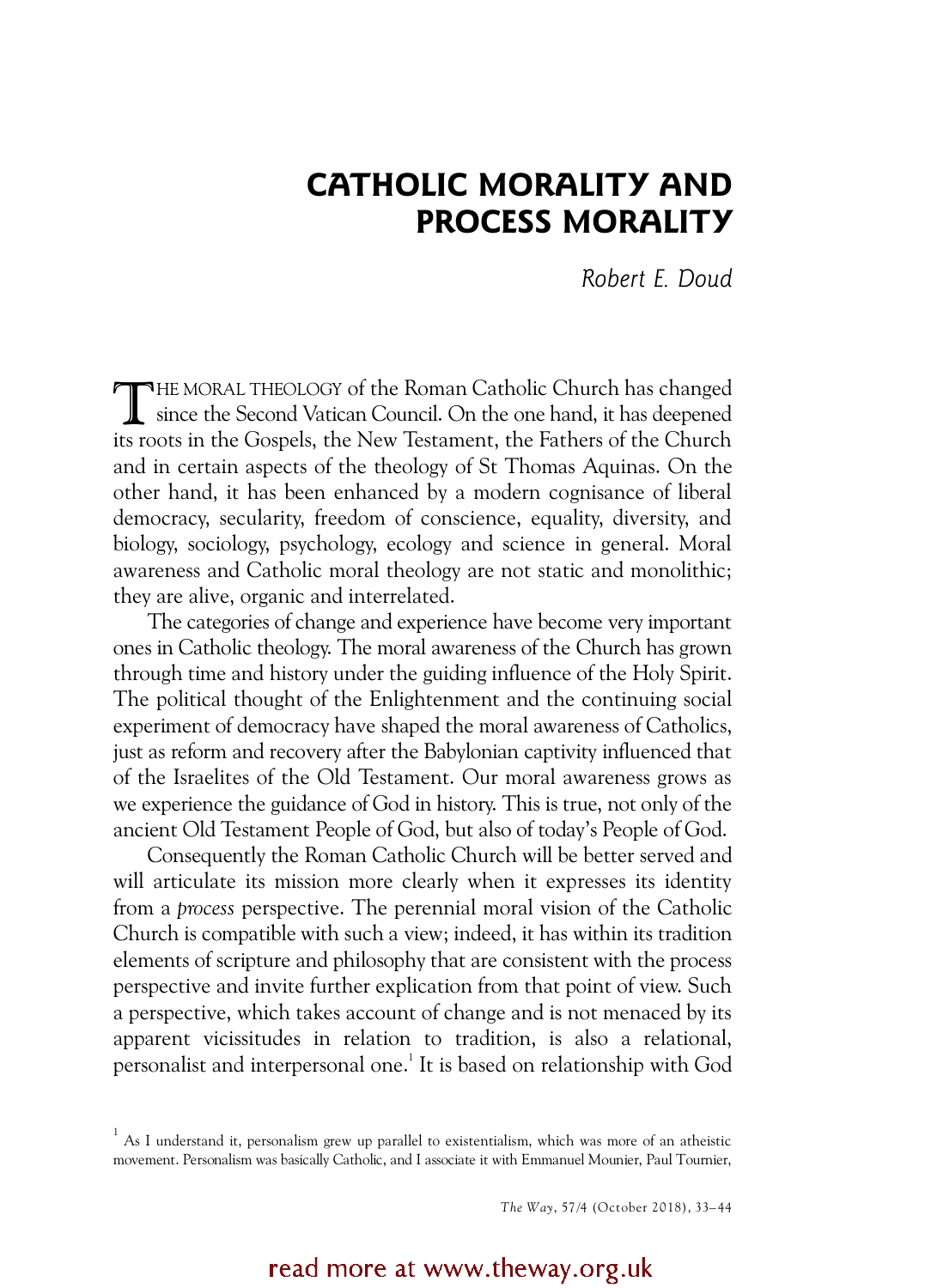# CATHOLIC MORALITY AND PROCESS MORALITY

*Robert E. Doud* 

THE MORAL THEOLOGY of the Roman Catholic Church has changed<br>since the Second Vatican Council. On the one hand, it has deepened since the Second Vatican Council. On the one hand, it has deepened its roots in the Gospels, the New Testament, the Fathers of the Church and in certain aspects of the theology of St Thomas Aquinas. On the other hand, it has been enhanced by a modern cognisance of liberal democracy, secularity, freedom of conscience, equality, diversity, and biology, sociology, psychology, ecology and science in general. Moral awareness and Catholic moral theology are not static and monolithic; they are alive, organic and interrelated.

The categories of change and experience have become very important ones in Catholic theology. The moral awareness of the Church has grown through time and history under the guiding influence of the Holy Spirit. The political thought of the Enlightenment and the continuing social experiment of democracy have shaped the moral awareness of Catholics, just as reform and recovery after the Babylonian captivity influenced that of the Israelites of the Old Testament. Our moral awareness grows as we experience the guidance of God in history. This is true, not only of the ancient Old Testament People of God, but also of today's People of God.

Consequently the Roman Catholic Church will be better served and will articulate its mission more clearly when it expresses its identity from a *process* perspective. The perennial moral vision of the Catholic Church is compatible with such a view; indeed, it has within its tradition elements of scripture and philosophy that are consistent with the process perspective and invite further explication from that point of view. Such a perspective, which takes account of change and is not menaced by its apparent vicissitudes in relation to tradition, is also a relational, personalist and interpersonal one.<sup>1</sup> It is based on relationship with God

*The W ay*, 57/4 (October 2018), 33–44

## read more at www.theway.org.uk

 $1$  As I understand it, personalism grew up parallel to existentialism, which was more of an atheistic movement. Personalism was basically Catholic, and I associate it with Emmanuel Mounier, Paul Tournier,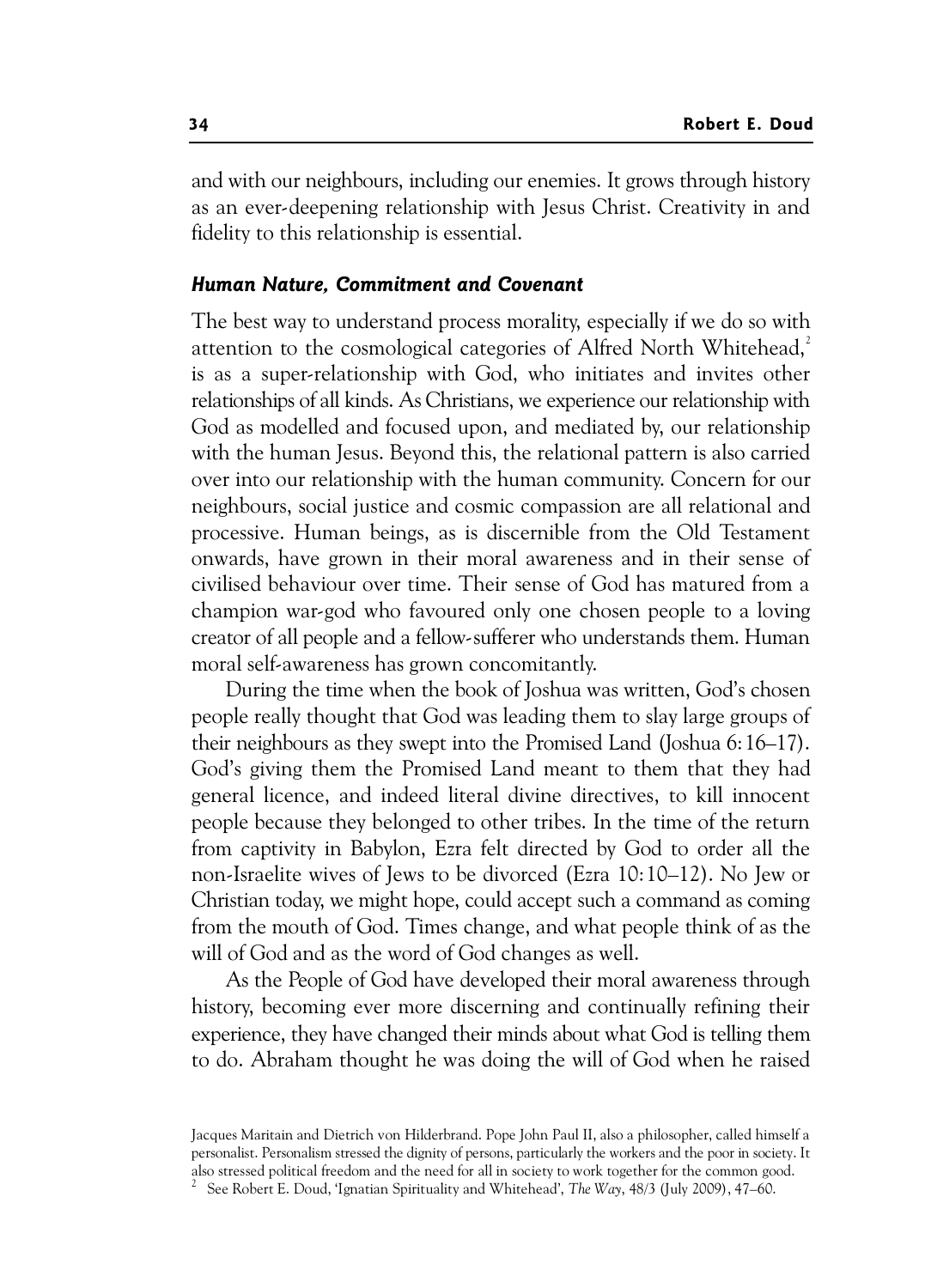and with our neighbours, including our enemies. It grows through history as an ever-deepening relationship with Jesus Christ. Creativity in and fidelity to this relationship is essential.

## Human Nature, Commitment and Covenant

The best way to understand process morality, especially if we do so with attention to the cosmological categories of Alfred North Whitehead.<sup>2</sup> is as a super-relationship with God, who initiates and invites other relationships of all kinds. As Christians, we experience our relationship with God as modelled and focused upon, and mediated by, our relationship with the human Jesus. Beyond this, the relational pattern is also carried over into our relationship with the human community. Concern for our neighbours, social justice and cosmic compassion are all relational and processive. Human beings, as is discernible from the Old Testament onwards, have grown in their moral awareness and in their sense of civilised behaviour over time. Their sense of God has matured from a champion war-god who favoured only one chosen people to a loving creator of all people and a fellow-sufferer who understands them. Human moral self-awareness has grown concomitantly.

During the time when the book of Joshua was written, God's chosen people really thought that God was leading them to slay large groups of their neighbours as they swept into the Promised Land (Joshua 6:16–17). God's giving them the Promised Land meant to them that they had general licence, and indeed literal divine directives, to kill innocent people because they belonged to other tribes. In the time of the return from captivity in Babylon, Ezra felt directed by God to order all the non-Israelite wives of Jews to be divorced (Ezra 10:10–12). No Jew or Christian today, we might hope, could accept such a command as coming from the mouth of God. Times change, and what people think of as the will of God and as the word of God changes as well.

As the People of God have developed their moral awareness through history, becoming ever more discerning and continually refining their experience, they have changed their minds about what God is telling them to do. Abraham thought he was doing the will of God when he raised

Jacques Maritain and Dietrich von Hilderbrand. Pope John Paul II, also a philosopher, called himself a personalist. Personalism stressed the dignity of persons, particularly the workers and the poor in society. It also stressed political freedom and the need for all in society to work together for the common good.

2 See Robert E. Doud, 'Ignatian Spirituality and Whitehead', *The Way*, 48/3 (July 2009), 47–60.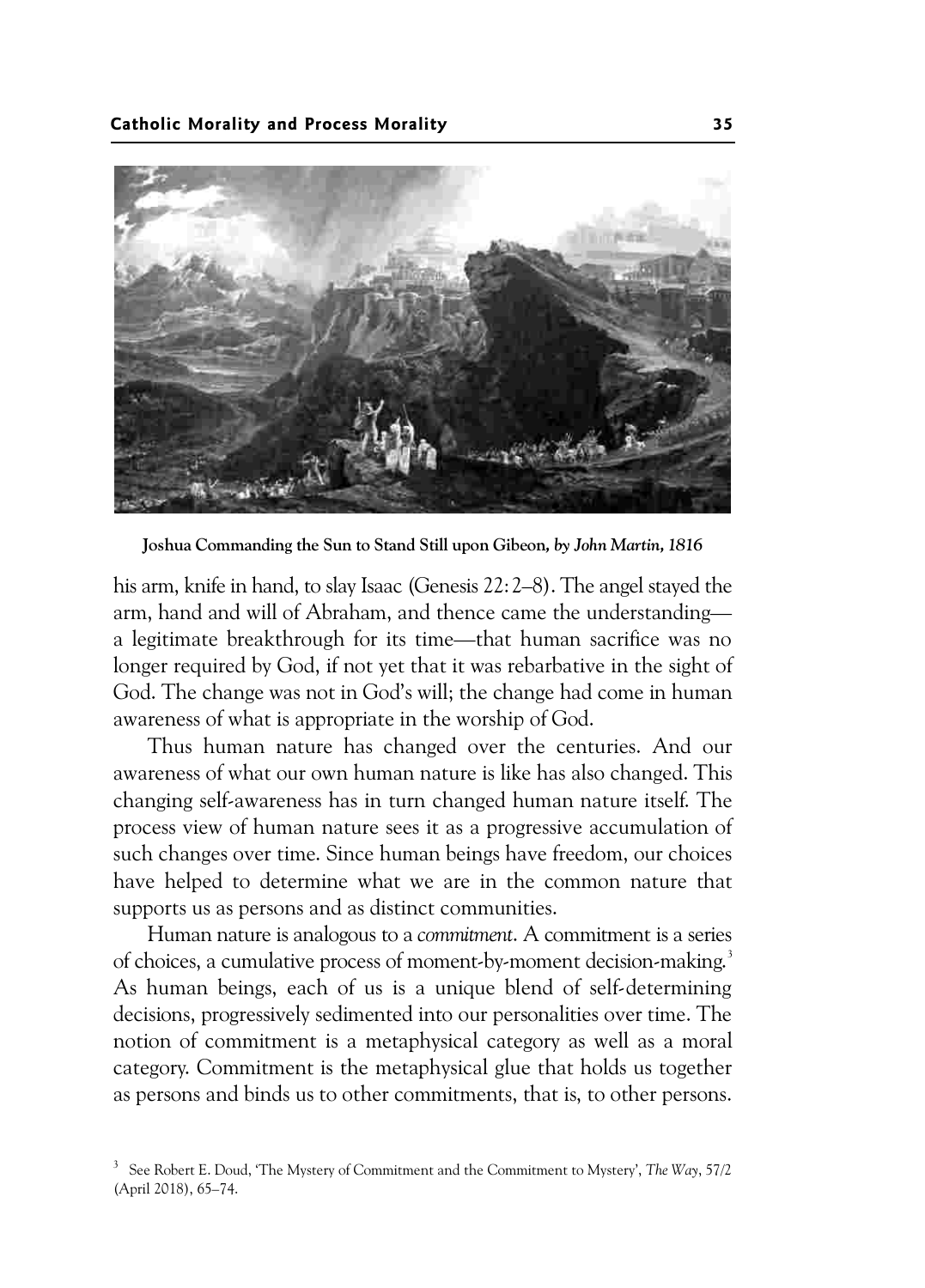

Joshua Commanding the Sun to Stand Still upon Gibeon*, by John Martin, 1816* 

his arm, knife in hand, to slay Isaac (Genesis 22:2–8). The angel stayed the arm, hand and will of Abraham, and thence came the understanding a legitimate breakthrough for its time—that human sacrifice was no longer required by God, if not yet that it was rebarbative in the sight of God. The change was not in God's will; the change had come in human awareness of what is appropriate in the worship of God.

Thus human nature has changed over the centuries. And our awareness of what our own human nature is like has also changed. This changing self-awareness has in turn changed human nature itself. The process view of human nature sees it as a progressive accumulation of such changes over time. Since human beings have freedom, our choices have helped to determine what we are in the common nature that supports us as persons and as distinct communities.

Human nature is analogous to a *commitment*. A commitment is a series of choices, a cumulative process of moment-by-moment decision-making.<sup>3</sup> As human beings, each of us is a unique blend of self-determining decisions, progressively sedimented into our personalities over time. The notion of commitment is a metaphysical category as well as a moral category. Commitment is the metaphysical glue that holds us together as persons and binds us to other commitments, that is, to other persons.

<sup>3</sup> See Robert E. Doud, 'The Mystery of Commitment and the Commitment to Mystery', *The Way*, 57/2 (April 2018), 65–74.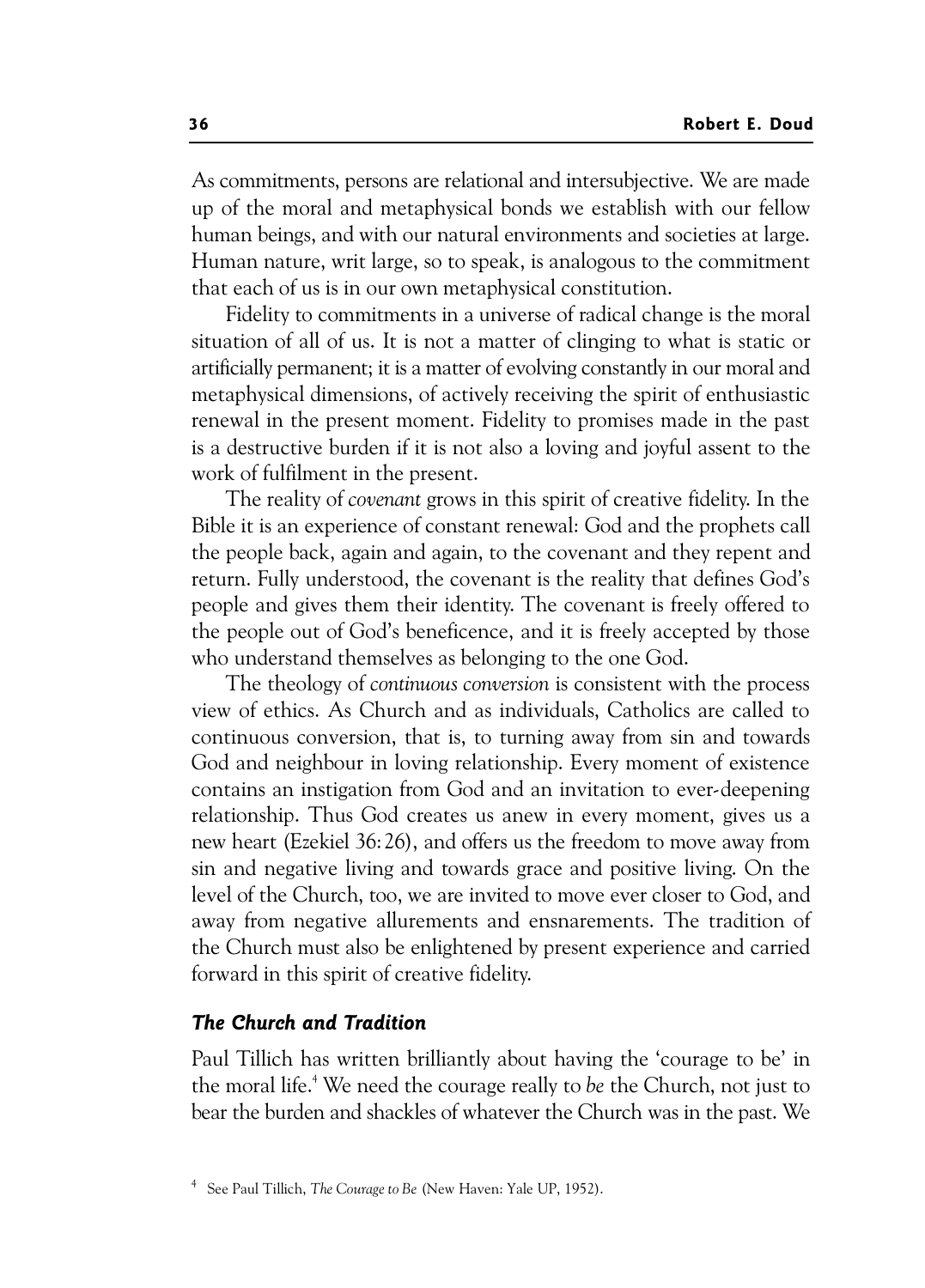As commitments, persons are relational and intersubjective. We are made up of the moral and metaphysical bonds we establish with our fellow human beings, and with our natural environments and societies at large. Human nature, writ large, so to speak, is analogous to the commitment that each of us is in our own metaphysical constitution.

Fidelity to commitments in a universe of radical change is the moral situation of all of us. It is not a matter of clinging to what is static or artificially permanent; it is a matter of evolving constantly in our moral and metaphysical dimensions, of actively receiving the spirit of enthusiastic renewal in the present moment. Fidelity to promises made in the past is a destructive burden if it is not also a loving and joyful assent to the work of fulfilment in the present.

The reality of *covenant* grows in this spirit of creative fidelity. In the Bible it is an experience of constant renewal: God and the prophets call the people back, again and again, to the covenant and they repent and return. Fully understood, the covenant is the reality that defines God's people and gives them their identity. The covenant is freely offered to the people out of God's beneficence, and it is freely accepted by those who understand themselves as belonging to the one God.

The theology of *continuous conversion* is consistent with the process view of ethics. As Church and as individuals, Catholics are called to continuous conversion, that is, to turning away from sin and towards God and neighbour in loving relationship. Every moment of existence contains an instigation from God and an invitation to ever-deepening relationship. Thus God creates us anew in every moment, gives us a new heart (Ezekiel 36:26), and offers us the freedom to move away from sin and negative living and towards grace and positive living. On the level of the Church, too, we are invited to move ever closer to God, and away from negative allurements and ensnarements. The tradition of the Church must also be enlightened by present experience and carried forward in this spirit of creative fidelity.

## The Church and Tradition

Paul Tillich has written brilliantly about having the 'courage to be' in the moral life.<sup>4</sup> We need the courage really to *be* the Church, not just to bear the burden and shackles of whatever the Church was in the past. We

<sup>4</sup> See Paul Tillich, *The Courage to Be* (New Haven: Yale UP, 1952).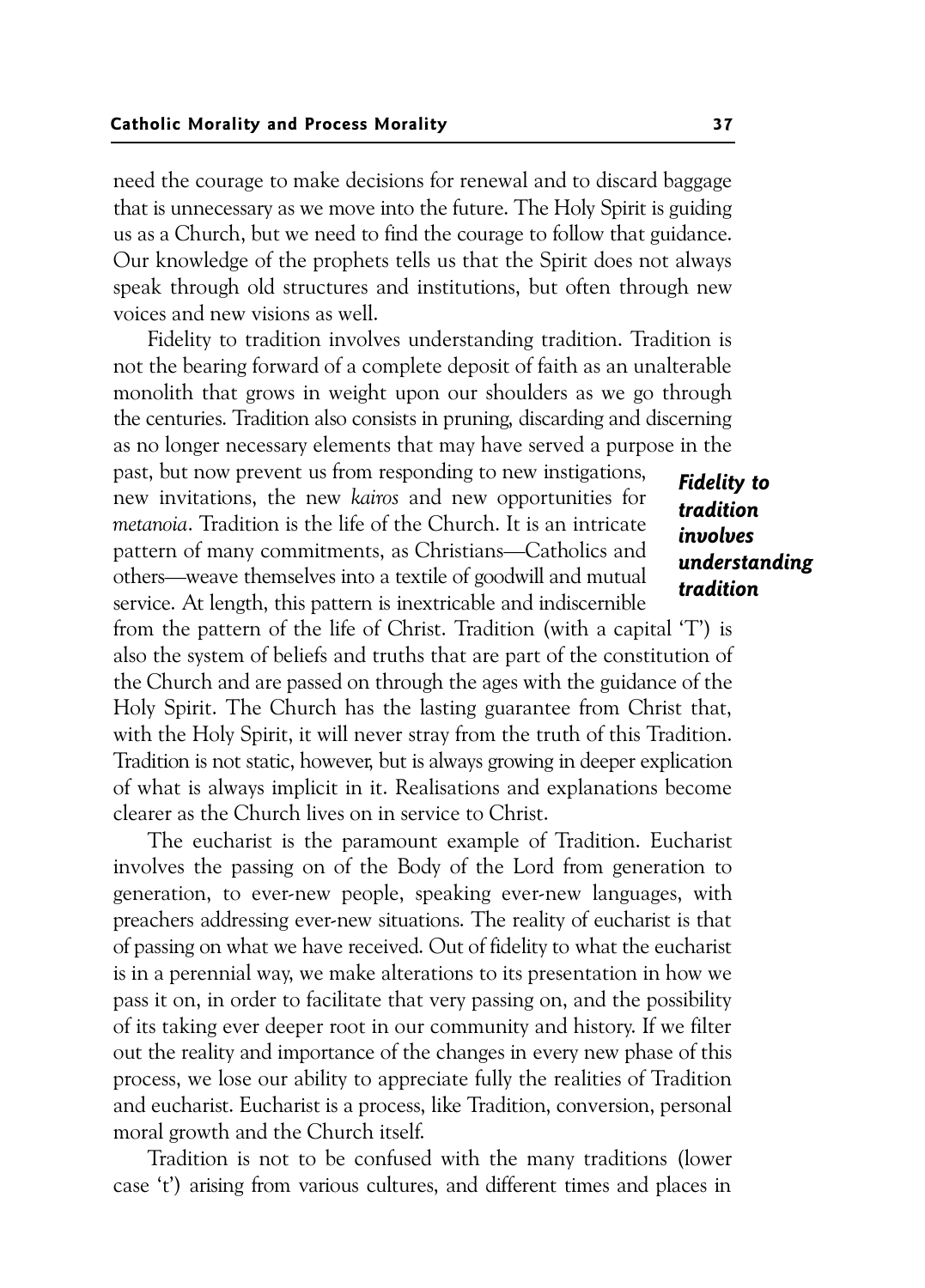need the courage to make decisions for renewal and to discard baggage that is unnecessary as we move into the future. The Holy Spirit is guiding us as a Church, but we need to find the courage to follow that guidance. Our knowledge of the prophets tells us that the Spirit does not always speak through old structures and institutions, but often through new voices and new visions as well.

Fidelity to tradition involves understanding tradition. Tradition is not the bearing forward of a complete deposit of faith as an unalterable monolith that grows in weight upon our shoulders as we go through the centuries. Tradition also consists in pruning, discarding and discerning as no longer necessary elements that may have served a purpose in the

past, but now prevent us from responding to new instigations, new invitations, the new *kairos* and new opportunities for *metanoia*. Tradition is the life of the Church. It is an intricate pattern of many commitments, as Christians—Catholics and others—weave themselves into a textile of goodwill and mutual service. At length, this pattern is inextricable and indiscernible

from the pattern of the life of Christ. Tradition (with a capital 'T') is also the system of beliefs and truths that are part of the constitution of the Church and are passed on through the ages with the guidance of the Holy Spirit. The Church has the lasting guarantee from Christ that, with the Holy Spirit, it will never stray from the truth of this Tradition. Tradition is not static, however, but is always growing in deeper explication of what is always implicit in it. Realisations and explanations become clearer as the Church lives on in service to Christ.

The eucharist is the paramount example of Tradition. Eucharist involves the passing on of the Body of the Lord from generation to generation, to ever-new people, speaking ever-new languages, with preachers addressing ever-new situations. The reality of eucharist is that of passing on what we have received. Out of fidelity to what the eucharist is in a perennial way, we make alterations to its presentation in how we pass it on, in order to facilitate that very passing on, and the possibility of its taking ever deeper root in our community and history. If we filter out the reality and importance of the changes in every new phase of this process, we lose our ability to appreciate fully the realities of Tradition and eucharist. Eucharist is a process, like Tradition, conversion, personal moral growth and the Church itself.

Tradition is not to be confused with the many traditions (lower case 't') arising from various cultures, and different times and places in

Fidelity to tradition involves understanding tradition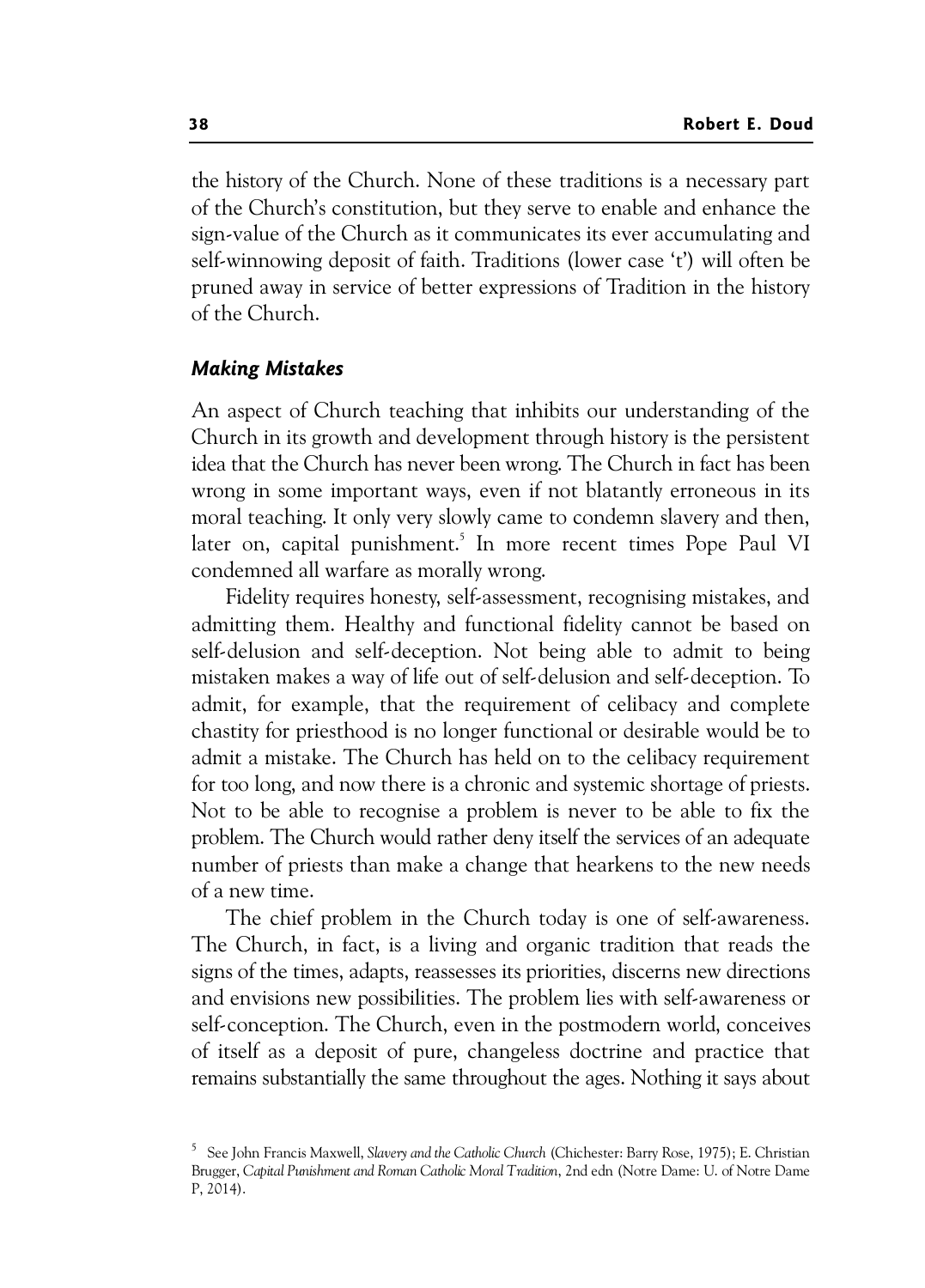the history of the Church. None of these traditions is a necessary part of the Church's constitution, but they serve to enable and enhance the sign-value of the Church as it communicates its ever accumulating and self-winnowing deposit of faith. Traditions (lower case 't') will often be pruned away in service of better expressions of Tradition in the history of the Church.

## Making Mistakes

An aspect of Church teaching that inhibits our understanding of the Church in its growth and development through history is the persistent idea that the Church has never been wrong. The Church in fact has been wrong in some important ways, even if not blatantly erroneous in its moral teaching. It only very slowly came to condemn slavery and then, later on, capital punishment.<sup>5</sup> In more recent times Pope Paul VI condemned all warfare as morally wrong.

Fidelity requires honesty, self-assessment, recognising mistakes, and admitting them. Healthy and functional fidelity cannot be based on self-delusion and self-deception. Not being able to admit to being mistaken makes a way of life out of self-delusion and self-deception. To admit, for example, that the requirement of celibacy and complete chastity for priesthood is no longer functional or desirable would be to admit a mistake. The Church has held on to the celibacy requirement for too long, and now there is a chronic and systemic shortage of priests. Not to be able to recognise a problem is never to be able to fix the problem. The Church would rather deny itself the services of an adequate number of priests than make a change that hearkens to the new needs of a new time.

The chief problem in the Church today is one of self-awareness. The Church, in fact, is a living and organic tradition that reads the signs of the times, adapts, reassesses its priorities, discerns new directions and envisions new possibilities. The problem lies with self-awareness or self-conception. The Church, even in the postmodern world, conceives of itself as a deposit of pure, changeless doctrine and practice that remains substantially the same throughout the ages. Nothing it says about

<sup>5</sup> See John Francis Maxwell, *Slavery and the Catholic Church* (Chichester: Barry Rose, 1975); E. Christian Brugger, *Capital Punishment and Roman Catholic Moral Tradition*, 2nd edn (Notre Dame: U. of Notre Dame P, 2014).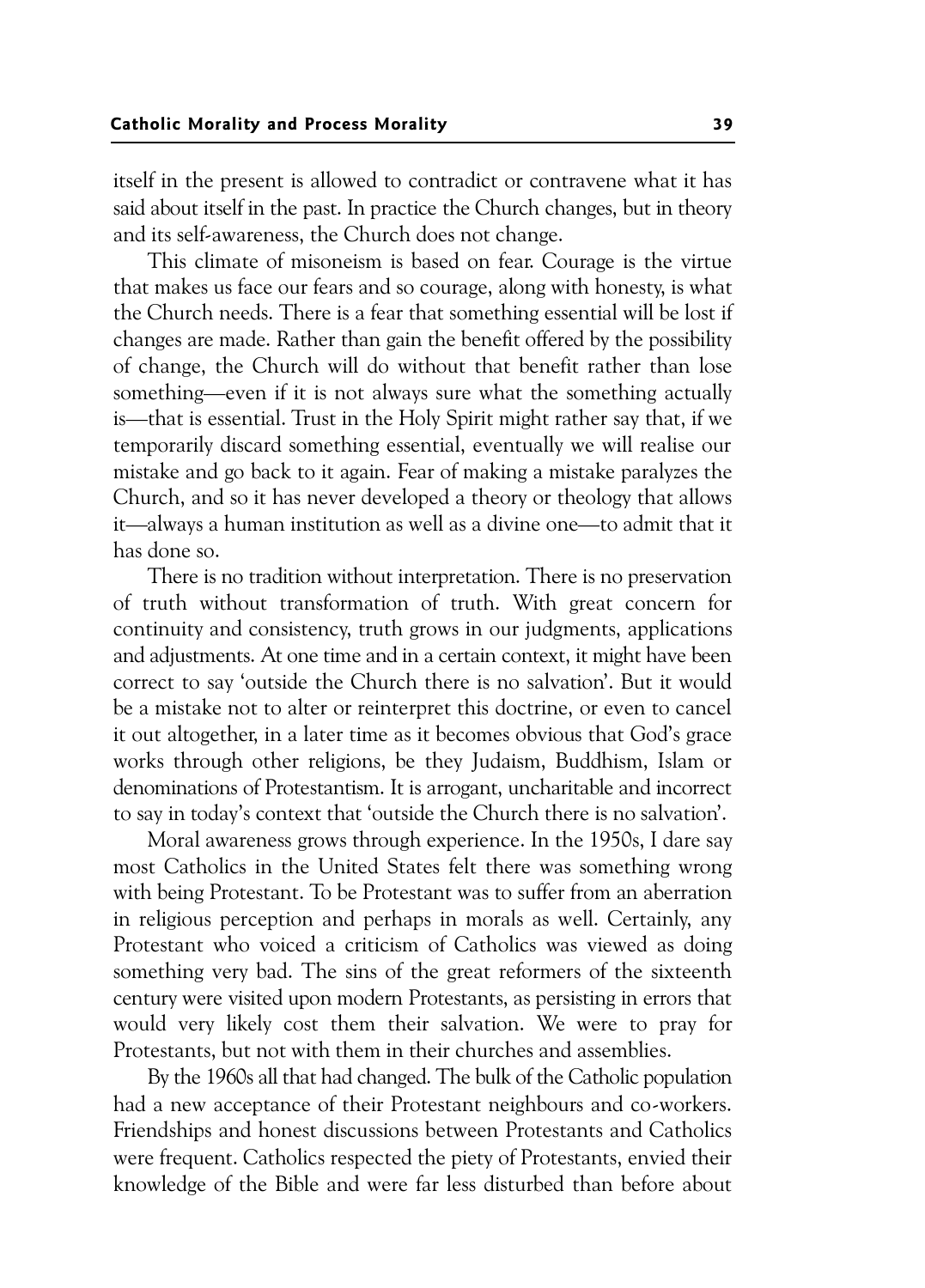itself in the present is allowed to contradict or contravene what it has said about itself in the past. In practice the Church changes, but in theory and its self-awareness, the Church does not change.

This climate of misoneism is based on fear. Courage is the virtue that makes us face our fears and so courage, along with honesty, is what the Church needs. There is a fear that something essential will be lost if changes are made. Rather than gain the benefit offered by the possibility of change, the Church will do without that benefit rather than lose something—even if it is not always sure what the something actually is—that is essential. Trust in the Holy Spirit might rather say that, if we temporarily discard something essential, eventually we will realise our mistake and go back to it again. Fear of making a mistake paralyzes the Church, and so it has never developed a theory or theology that allows it—always a human institution as well as a divine one—to admit that it has done so.

There is no tradition without interpretation. There is no preservation of truth without transformation of truth. With great concern for continuity and consistency, truth grows in our judgments, applications and adjustments. At one time and in a certain context, it might have been correct to say 'outside the Church there is no salvation'. But it would be a mistake not to alter or reinterpret this doctrine, or even to cancel it out altogether, in a later time as it becomes obvious that God's grace works through other religions, be they Judaism, Buddhism, Islam or denominations of Protestantism. It is arrogant, uncharitable and incorrect to say in today's context that 'outside the Church there is no salvation'.

Moral awareness grows through experience. In the 1950s, I dare say most Catholics in the United States felt there was something wrong with being Protestant. To be Protestant was to suffer from an aberration in religious perception and perhaps in morals as well. Certainly, any Protestant who voiced a criticism of Catholics was viewed as doing something very bad. The sins of the great reformers of the sixteenth century were visited upon modern Protestants, as persisting in errors that would very likely cost them their salvation. We were to pray for Protestants, but not with them in their churches and assemblies.

By the 1960s all that had changed. The bulk of the Catholic population had a new acceptance of their Protestant neighbours and co-workers. Friendships and honest discussions between Protestants and Catholics were frequent. Catholics respected the piety of Protestants, envied their knowledge of the Bible and were far less disturbed than before about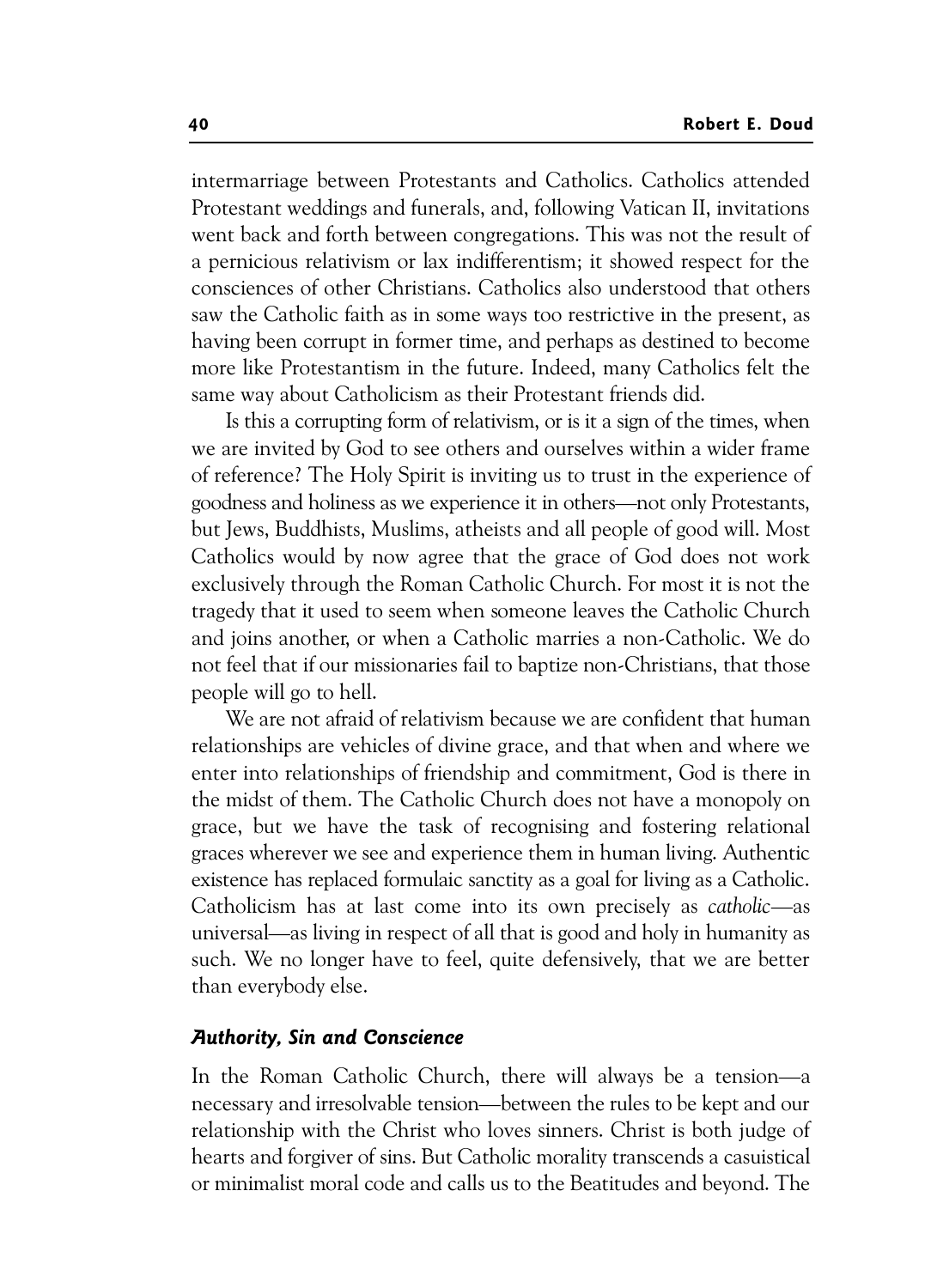intermarriage between Protestants and Catholics. Catholics attended Protestant weddings and funerals, and, following Vatican II, invitations went back and forth between congregations. This was not the result of a pernicious relativism or lax indifferentism; it showed respect for the consciences of other Christians. Catholics also understood that others saw the Catholic faith as in some ways too restrictive in the present, as having been corrupt in former time, and perhaps as destined to become more like Protestantism in the future. Indeed, many Catholics felt the same way about Catholicism as their Protestant friends did.

Is this a corrupting form of relativism, or is it a sign of the times, when we are invited by God to see others and ourselves within a wider frame of reference? The Holy Spirit is inviting us to trust in the experience of goodness and holiness as we experience it in others—not only Protestants, but Jews, Buddhists, Muslims, atheists and all people of good will. Most Catholics would by now agree that the grace of God does not work exclusively through the Roman Catholic Church. For most it is not the tragedy that it used to seem when someone leaves the Catholic Church and joins another, or when a Catholic marries a non-Catholic. We do not feel that if our missionaries fail to baptize non-Christians, that those people will go to hell.

We are not afraid of relativism because we are confident that human relationships are vehicles of divine grace, and that when and where we enter into relationships of friendship and commitment, God is there in the midst of them. The Catholic Church does not have a monopoly on grace, but we have the task of recognising and fostering relational graces wherever we see and experience them in human living. Authentic existence has replaced formulaic sanctity as a goal for living as a Catholic. Catholicism has at last come into its own precisely as *catholic*—as universal—as living in respect of all that is good and holy in humanity as such. We no longer have to feel, quite defensively, that we are better than everybody else.

## Authority, Sin and Conscience

In the Roman Catholic Church, there will always be a tension—a necessary and irresolvable tension—between the rules to be kept and our relationship with the Christ who loves sinners. Christ is both judge of hearts and forgiver of sins. But Catholic morality transcends a casuistical or minimalist moral code and calls us to the Beatitudes and beyond. The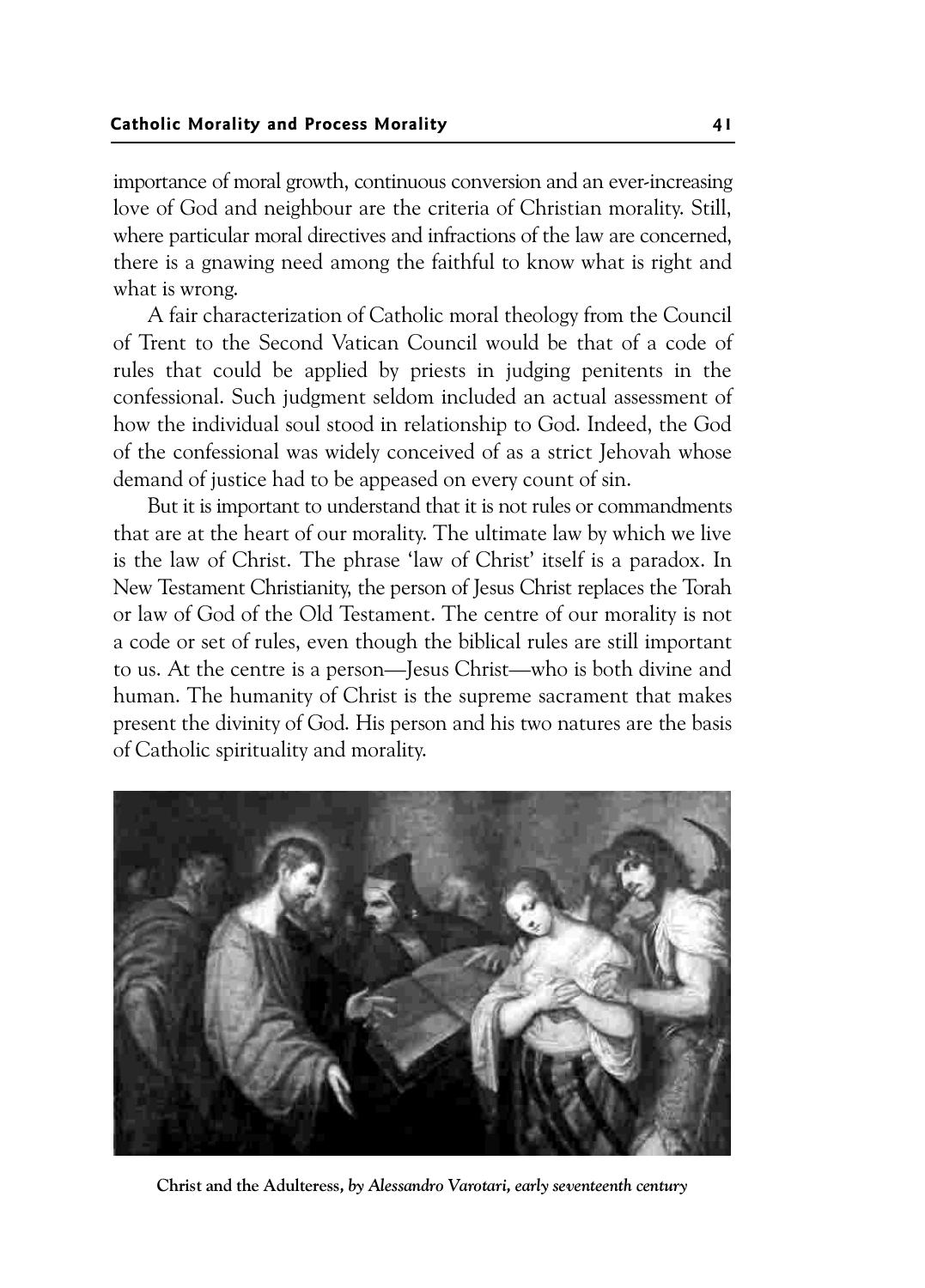importance of moral growth, continuous conversion and an ever-increasing love of God and neighbour are the criteria of Christian morality. Still, where particular moral directives and infractions of the law are concerned, there is a gnawing need among the faithful to know what is right and what is wrong.

A fair characterization of Catholic moral theology from the Council of Trent to the Second Vatican Council would be that of a code of rules that could be applied by priests in judging penitents in the confessional. Such judgment seldom included an actual assessment of how the individual soul stood in relationship to God. Indeed, the God of the confessional was widely conceived of as a strict Jehovah whose demand of justice had to be appeased on every count of sin.

But it is important to understand that it is not rules or commandments that are at the heart of our morality. The ultimate law by which we live is the law of Christ. The phrase 'law of Christ' itself is a paradox. In New Testament Christianity, the person of Jesus Christ replaces the Torah or law of God of the Old Testament. The centre of our morality is not a code or set of rules, even though the biblical rules are still important to us. At the centre is a person—Jesus Christ—who is both divine and human. The humanity of Christ is the supreme sacrament that makes present the divinity of God. His person and his two natures are the basis of Catholic spirituality and morality.



Christ and the Adulteress*, by Alessandro Varotari, early seventeenth century*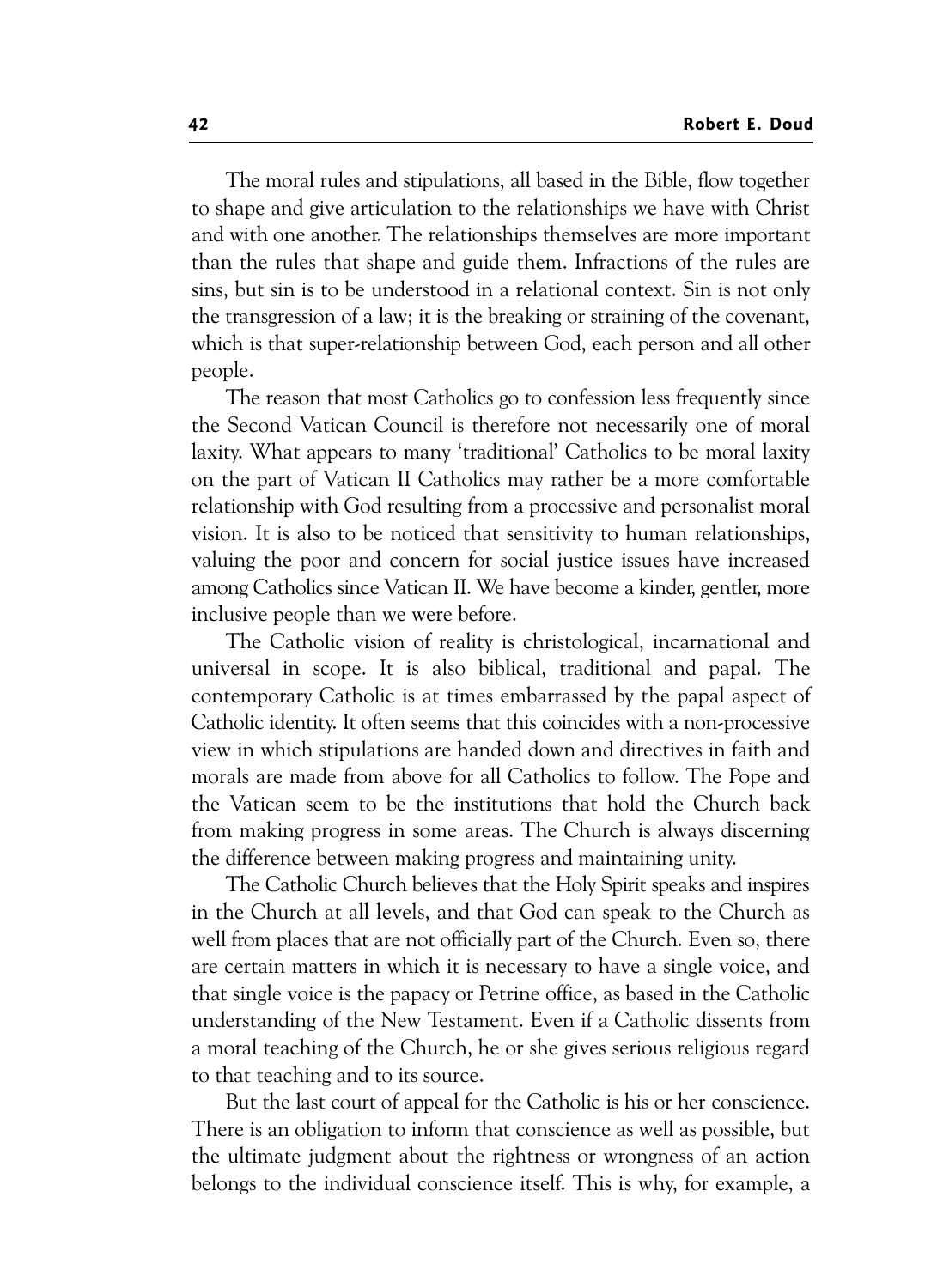The moral rules and stipulations, all based in the Bible, flow together to shape and give articulation to the relationships we have with Christ and with one another. The relationships themselves are more important than the rules that shape and guide them. Infractions of the rules are sins, but sin is to be understood in a relational context. Sin is not only the transgression of a law; it is the breaking or straining of the covenant, which is that super-relationship between God, each person and all other people.

The reason that most Catholics go to confession less frequently since the Second Vatican Council is therefore not necessarily one of moral laxity. What appears to many 'traditional' Catholics to be moral laxity on the part of Vatican II Catholics may rather be a more comfortable relationship with God resulting from a processive and personalist moral vision. It is also to be noticed that sensitivity to human relationships, valuing the poor and concern for social justice issues have increased among Catholics since Vatican II. We have become a kinder, gentler, more inclusive people than we were before.

The Catholic vision of reality is christological, incarnational and universal in scope. It is also biblical, traditional and papal. The contemporary Catholic is at times embarrassed by the papal aspect of Catholic identity. It often seems that this coincides with a non-processive view in which stipulations are handed down and directives in faith and morals are made from above for all Catholics to follow. The Pope and the Vatican seem to be the institutions that hold the Church back from making progress in some areas. The Church is always discerning the difference between making progress and maintaining unity.

The Catholic Church believes that the Holy Spirit speaks and inspires in the Church at all levels, and that God can speak to the Church as well from places that are not officially part of the Church. Even so, there are certain matters in which it is necessary to have a single voice, and that single voice is the papacy or Petrine office, as based in the Catholic understanding of the New Testament. Even if a Catholic dissents from a moral teaching of the Church, he or she gives serious religious regard to that teaching and to its source.

But the last court of appeal for the Catholic is his or her conscience. There is an obligation to inform that conscience as well as possible, but the ultimate judgment about the rightness or wrongness of an action belongs to the individual conscience itself. This is why, for example, a